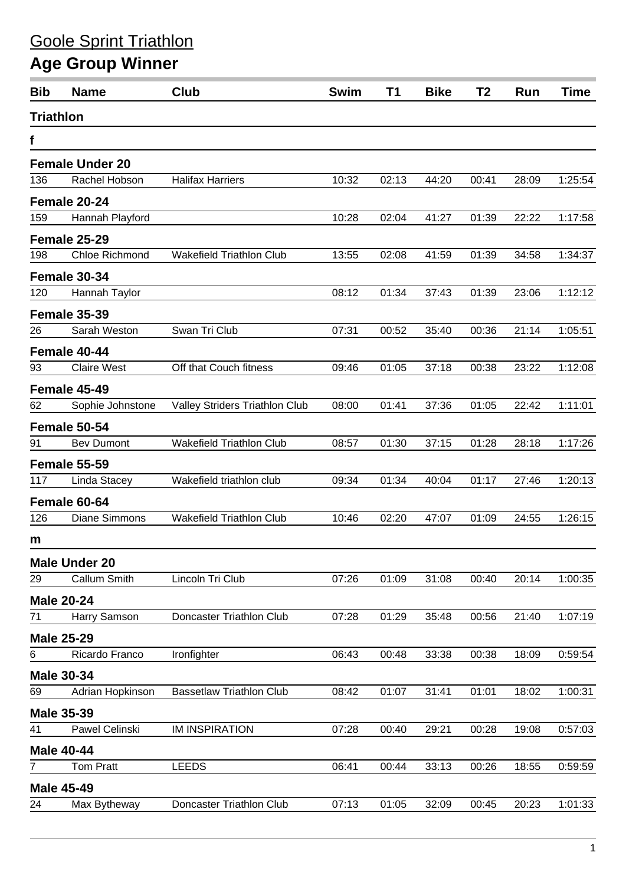## Goole Sprint Triathlon

## **Age Group Winner**

| <b>Bib</b>       | <b>Name</b>            | Club                            | <b>Swim</b> | <b>T1</b> | <b>Bike</b> | T <sub>2</sub> | Run   | <b>Time</b> |
|------------------|------------------------|---------------------------------|-------------|-----------|-------------|----------------|-------|-------------|
| <b>Triathlon</b> |                        |                                 |             |           |             |                |       |             |
| f                |                        |                                 |             |           |             |                |       |             |
|                  | <b>Female Under 20</b> |                                 |             |           |             |                |       |             |
| 136              | Rachel Hobson          | <b>Halifax Harriers</b>         | 10:32       | 02:13     | 44:20       | 00:41          | 28:09 | 1:25:54     |
|                  | Female 20-24           |                                 |             |           |             |                |       |             |
| 159              | Hannah Playford        |                                 | 10:28       | 02:04     | 41:27       | 01:39          | 22:22 | 1:17:58     |
|                  | Female 25-29           |                                 |             |           |             |                |       |             |
| 198              | Chloe Richmond         | <b>Wakefield Triathlon Club</b> | 13:55       | 02:08     | 41:59       | 01:39          | 34:58 | 1:34:37     |
|                  | Female 30-34           |                                 |             |           |             |                |       |             |
| 120              | Hannah Taylor          |                                 | 08:12       | 01:34     | 37:43       | 01:39          | 23:06 | 1:12:12     |
|                  | Female 35-39           |                                 |             |           |             |                |       |             |
| 26               | Sarah Weston           | Swan Tri Club                   | 07:31       | 00:52     | 35:40       | 00:36          | 21:14 | 1:05:51     |
|                  | Female 40-44           |                                 |             |           |             |                |       |             |
| 93               | <b>Claire West</b>     | Off that Couch fitness          | 09:46       | 01:05     | 37:18       | 00:38          | 23:22 | 1:12:08     |
|                  | Female 45-49           |                                 |             |           |             |                |       |             |
| 62               | Sophie Johnstone       | Valley Striders Triathlon Club  | 08:00       | 01:41     | 37:36       | 01:05          | 22:42 | 1:11:01     |
|                  | Female 50-54           |                                 |             |           |             |                |       |             |
| 91               | <b>Bev Dumont</b>      | Wakefield Triathlon Club        | 08:57       | 01:30     | 37:15       | 01:28          | 28:18 | 1:17:26     |
|                  | <b>Female 55-59</b>    |                                 |             |           |             |                |       |             |
| 117              | Linda Stacey           | Wakefield triathlon club        | 09:34       | 01:34     | 40:04       | 01:17          | 27:46 | 1:20:13     |
|                  | Female 60-64           |                                 |             |           |             |                |       |             |
| 126              | Diane Simmons          | <b>Wakefield Triathlon Club</b> | 10:46       | 02:20     | 47:07       | 01:09          | 24:55 | 1:26:15     |
| m                |                        |                                 |             |           |             |                |       |             |
|                  | <b>Male Under 20</b>   |                                 |             |           |             |                |       |             |
| 29               | Callum Smith           | Lincoln Tri Club                | 07:26       | 01:09     | 31:08       | 00:40          | 20:14 | 1:00:35     |
|                  | <b>Male 20-24</b>      |                                 |             |           |             |                |       |             |
| 71               | Harry Samson           | Doncaster Triathlon Club        | 07:28       | 01:29     | 35:48       | 00:56          | 21:40 | 1:07:19     |
|                  | <b>Male 25-29</b>      |                                 |             |           |             |                |       |             |
| 6                | Ricardo Franco         | Ironfighter                     | 06:43       | 00:48     | 33:38       | 00:38          | 18:09 | 0:59:54     |
|                  | <b>Male 30-34</b>      |                                 |             |           |             |                |       |             |
| 69               | Adrian Hopkinson       | <b>Bassetlaw Triathlon Club</b> | 08:42       | 01:07     | 31:41       | 01:01          | 18:02 | 1:00:31     |
|                  | <b>Male 35-39</b>      |                                 |             |           |             |                |       |             |
| 41               | Pawel Celinski         | <b>IM INSPIRATION</b>           | 07:28       | 00:40     | 29:21       | 00:28          | 19:08 | 0:57:03     |
|                  | <b>Male 40-44</b>      |                                 |             |           |             |                |       |             |
| 7                | Tom Pratt              | <b>LEEDS</b>                    | 06:41       | 00:44     | 33:13       | 00:26          | 18:55 | 0:59:59     |
|                  | <b>Male 45-49</b>      |                                 |             |           |             |                |       |             |
| 24               | Max Bytheway           | Doncaster Triathlon Club        | 07:13       | 01:05     | 32:09       | 00:45          | 20:23 | 1:01:33     |